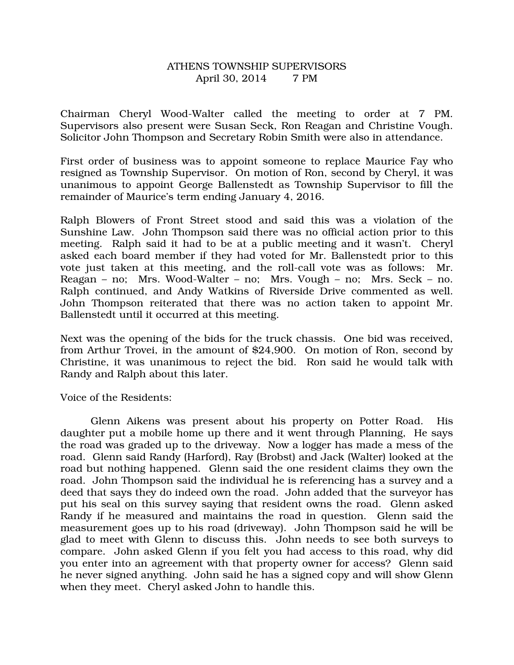## ATHENS TOWNSHIP SUPERVISORS April 30, 2014 7 PM

Chairman Cheryl Wood-Walter called the meeting to order at 7 PM. Supervisors also present were Susan Seck, Ron Reagan and Christine Vough. Solicitor John Thompson and Secretary Robin Smith were also in attendance.

First order of business was to appoint someone to replace Maurice Fay who resigned as Township Supervisor. On motion of Ron, second by Cheryl, it was unanimous to appoint George Ballenstedt as Township Supervisor to fill the remainder of Maurice's term ending January 4, 2016.

Ralph Blowers of Front Street stood and said this was a violation of the Sunshine Law. John Thompson said there was no official action prior to this meeting. Ralph said it had to be at a public meeting and it wasn't. Cheryl asked each board member if they had voted for Mr. Ballenstedt prior to this vote just taken at this meeting, and the roll-call vote was as follows: Mr. Reagan – no; Mrs. Wood-Walter – no; Mrs. Vough – no; Mrs. Seck – no. Ralph continued, and Andy Watkins of Riverside Drive commented as well. John Thompson reiterated that there was no action taken to appoint Mr. Ballenstedt until it occurred at this meeting.

Next was the opening of the bids for the truck chassis. One bid was received, from Arthur Trovei, in the amount of \$24,900. On motion of Ron, second by Christine, it was unanimous to reject the bid. Ron said he would talk with Randy and Ralph about this later.

Voice of the Residents:

 Glenn Aikens was present about his property on Potter Road. His daughter put a mobile home up there and it went through Planning, He says the road was graded up to the driveway. Now a logger has made a mess of the road. Glenn said Randy (Harford), Ray (Brobst) and Jack (Walter) looked at the road but nothing happened. Glenn said the one resident claims they own the road. John Thompson said the individual he is referencing has a survey and a deed that says they do indeed own the road. John added that the surveyor has put his seal on this survey saying that resident owns the road. Glenn asked Randy if he measured and maintains the road in question. Glenn said the measurement goes up to his road (driveway). John Thompson said he will be glad to meet with Glenn to discuss this. John needs to see both surveys to compare. John asked Glenn if you felt you had access to this road, why did you enter into an agreement with that property owner for access? Glenn said he never signed anything. John said he has a signed copy and will show Glenn when they meet. Cheryl asked John to handle this.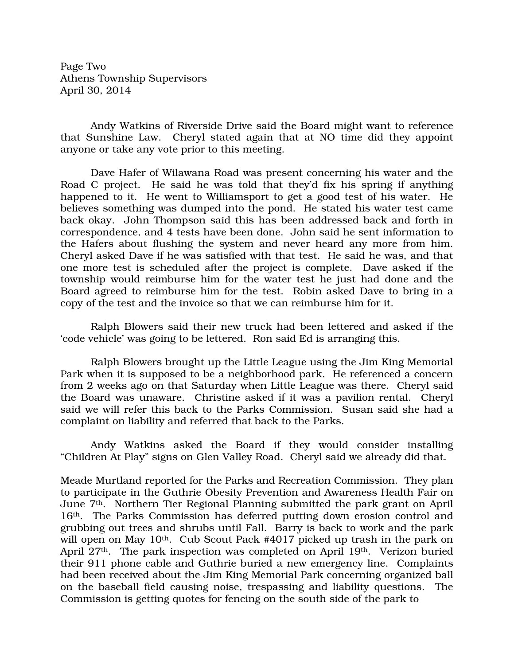Page Two Athens Township Supervisors April 30, 2014

Andy Watkins of Riverside Drive said the Board might want to reference that Sunshine Law. Cheryl stated again that at NO time did they appoint anyone or take any vote prior to this meeting.

Dave Hafer of Wilawana Road was present concerning his water and the Road C project. He said he was told that they'd fix his spring if anything happened to it. He went to Williamsport to get a good test of his water. He believes something was dumped into the pond. He stated his water test came back okay. John Thompson said this has been addressed back and forth in correspondence, and 4 tests have been done. John said he sent information to the Hafers about flushing the system and never heard any more from him. Cheryl asked Dave if he was satisfied with that test. He said he was, and that one more test is scheduled after the project is complete. Dave asked if the township would reimburse him for the water test he just had done and the Board agreed to reimburse him for the test. Robin asked Dave to bring in a copy of the test and the invoice so that we can reimburse him for it.

 Ralph Blowers said their new truck had been lettered and asked if the 'code vehicle' was going to be lettered. Ron said Ed is arranging this.

 Ralph Blowers brought up the Little League using the Jim King Memorial Park when it is supposed to be a neighborhood park. He referenced a concern from 2 weeks ago on that Saturday when Little League was there. Cheryl said the Board was unaware. Christine asked if it was a pavilion rental. Cheryl said we will refer this back to the Parks Commission. Susan said she had a complaint on liability and referred that back to the Parks.

 Andy Watkins asked the Board if they would consider installing "Children At Play" signs on Glen Valley Road. Cheryl said we already did that.

Meade Murtland reported for the Parks and Recreation Commission. They plan to participate in the Guthrie Obesity Prevention and Awareness Health Fair on June 7th. Northern Tier Regional Planning submitted the park grant on April 16th. The Parks Commission has deferred putting down erosion control and grubbing out trees and shrubs until Fall. Barry is back to work and the park will open on May 10<sup>th</sup>. Cub Scout Pack #4017 picked up trash in the park on April 27<sup>th</sup>. The park inspection was completed on April 19<sup>th</sup>. Verizon buried their 911 phone cable and Guthrie buried a new emergency line. Complaints had been received about the Jim King Memorial Park concerning organized ball on the baseball field causing noise, trespassing and liability questions. The Commission is getting quotes for fencing on the south side of the park to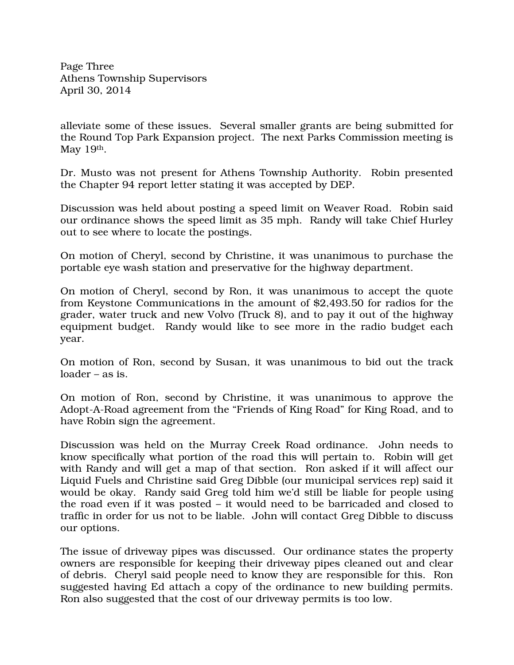Page Three Athens Township Supervisors April 30, 2014

alleviate some of these issues. Several smaller grants are being submitted for the Round Top Park Expansion project. The next Parks Commission meeting is May 19th.

Dr. Musto was not present for Athens Township Authority. Robin presented the Chapter 94 report letter stating it was accepted by DEP.

Discussion was held about posting a speed limit on Weaver Road. Robin said our ordinance shows the speed limit as 35 mph. Randy will take Chief Hurley out to see where to locate the postings.

On motion of Cheryl, second by Christine, it was unanimous to purchase the portable eye wash station and preservative for the highway department.

On motion of Cheryl, second by Ron, it was unanimous to accept the quote from Keystone Communications in the amount of \$2,493.50 for radios for the grader, water truck and new Volvo (Truck 8), and to pay it out of the highway equipment budget. Randy would like to see more in the radio budget each year.

On motion of Ron, second by Susan, it was unanimous to bid out the track loader – as is.

On motion of Ron, second by Christine, it was unanimous to approve the Adopt-A-Road agreement from the "Friends of King Road" for King Road, and to have Robin sign the agreement.

Discussion was held on the Murray Creek Road ordinance. John needs to know specifically what portion of the road this will pertain to. Robin will get with Randy and will get a map of that section. Ron asked if it will affect our Liquid Fuels and Christine said Greg Dibble (our municipal services rep) said it would be okay. Randy said Greg told him we'd still be liable for people using the road even if it was posted – it would need to be barricaded and closed to traffic in order for us not to be liable. John will contact Greg Dibble to discuss our options.

The issue of driveway pipes was discussed. Our ordinance states the property owners are responsible for keeping their driveway pipes cleaned out and clear of debris. Cheryl said people need to know they are responsible for this. Ron suggested having Ed attach a copy of the ordinance to new building permits. Ron also suggested that the cost of our driveway permits is too low.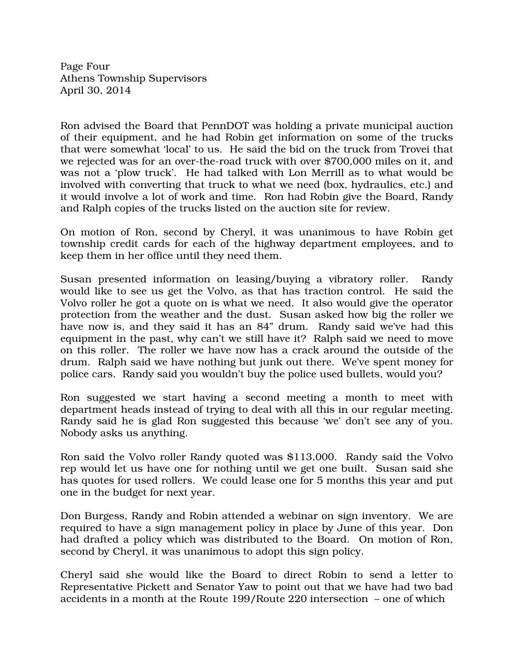Page Four Athens Township Supervisors April 30, 2014

Ron advised the Board that PennDOT was holding a private municipal auction of their equipment, and he had Robin get information on some of the trucks that were somewhat 'local' to us. He said the bid on the truck from Trovei that we rejected was for an over-the-road truck with over \$700,000 miles on it, and was not a 'plow truck'. He had talked with Lon Merrill as to what would be involved with converting that truck to what we need (box, hydraulics, etc.) and it would involve a lot of work and time. Ron had Robin give the Board, Randy and Ralph copies of the trucks listed on the auction site for review.

On motion of Ron, second by Cheryl, it was unanimous to have Robin get township credit cards for each of the highway department employees, and to keep them in her office until they need them.

Susan presented information on leasing/buying a vibratory roller. Randy would like to see us get the Volvo, as that has traction control. He said the Volvo roller he got a quote on is what we need. It also would give the operator protection from the weather and the dust. Susan asked how big the roller we have now is, and they said it has an 84" drum. Randy said we've had this equipment in the past, why can't we still have it? Ralph said we need to move on this roller. The roller we have now has a crack around the outside of the drum. Ralph said we have nothing but junk out there. We've spent money for police cars. Randy said you wouldn't buy the police used bullets, would you?

Ron suggested we start having a second meeting a month to meet with department heads instead of trying to deal with all this in our regular meeting. Randy said he is glad Ron suggested this because 'we' don't see any of you. Nobody asks us anything.

Ron said the Volvo roller Randy quoted was \$113,000. Randy said the Volvo rep would let us have one for nothing until we get one built. Susan said she has quotes for used rollers. We could lease one for 5 months this year and put one in the budget for next year.

Don Burgess, Randy and Robin attended a webinar on sign inventory. We are required to have a sign management policy in place by June of this year. Don had drafted a policy which was distributed to the Board. On motion of Ron, second by Cheryl, it was unanimous to adopt this sign policy.

Cheryl said she would like the Board to direct Robin to send a letter to Representative Pickett and Senator Yaw to point out that we have had two bad accidents in a month at the Route 199/Route 220 intersection – one of which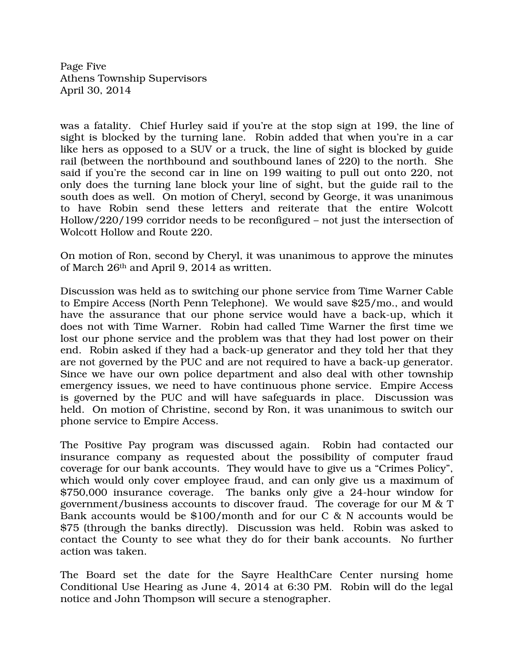Page Five Athens Township Supervisors April 30, 2014

was a fatality. Chief Hurley said if you're at the stop sign at 199, the line of sight is blocked by the turning lane. Robin added that when you're in a car like hers as opposed to a SUV or a truck, the line of sight is blocked by guide rail (between the northbound and southbound lanes of 220) to the north. She said if you're the second car in line on 199 waiting to pull out onto 220, not only does the turning lane block your line of sight, but the guide rail to the south does as well. On motion of Cheryl, second by George, it was unanimous to have Robin send these letters and reiterate that the entire Wolcott Hollow/220/199 corridor needs to be reconfigured – not just the intersection of Wolcott Hollow and Route 220.

On motion of Ron, second by Cheryl, it was unanimous to approve the minutes of March 26th and April 9, 2014 as written.

Discussion was held as to switching our phone service from Time Warner Cable to Empire Access (North Penn Telephone). We would save \$25/mo., and would have the assurance that our phone service would have a back-up, which it does not with Time Warner. Robin had called Time Warner the first time we lost our phone service and the problem was that they had lost power on their end. Robin asked if they had a back-up generator and they told her that they are not governed by the PUC and are not required to have a back-up generator. Since we have our own police department and also deal with other township emergency issues, we need to have continuous phone service. Empire Access is governed by the PUC and will have safeguards in place. Discussion was held. On motion of Christine, second by Ron, it was unanimous to switch our phone service to Empire Access.

The Positive Pay program was discussed again. Robin had contacted our insurance company as requested about the possibility of computer fraud coverage for our bank accounts. They would have to give us a "Crimes Policy", which would only cover employee fraud, and can only give us a maximum of \$750,000 insurance coverage. The banks only give a 24-hour window for government/business accounts to discover fraud. The coverage for our M & T Bank accounts would be \$100/month and for our C & N accounts would be \$75 (through the banks directly). Discussion was held. Robin was asked to contact the County to see what they do for their bank accounts. No further action was taken.

The Board set the date for the Sayre HealthCare Center nursing home Conditional Use Hearing as June 4, 2014 at 6:30 PM. Robin will do the legal notice and John Thompson will secure a stenographer.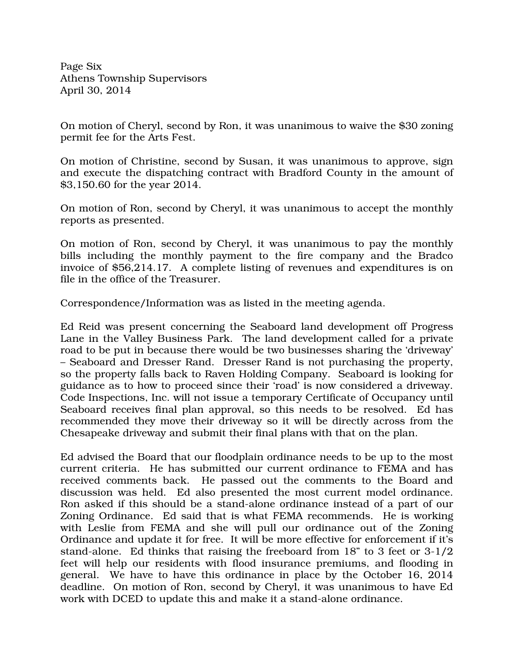Page Six Athens Township Supervisors April 30, 2014

On motion of Cheryl, second by Ron, it was unanimous to waive the \$30 zoning permit fee for the Arts Fest.

On motion of Christine, second by Susan, it was unanimous to approve, sign and execute the dispatching contract with Bradford County in the amount of \$3,150.60 for the year 2014.

On motion of Ron, second by Cheryl, it was unanimous to accept the monthly reports as presented.

On motion of Ron, second by Cheryl, it was unanimous to pay the monthly bills including the monthly payment to the fire company and the Bradco invoice of \$56,214.17. A complete listing of revenues and expenditures is on file in the office of the Treasurer.

Correspondence/Information was as listed in the meeting agenda.

Ed Reid was present concerning the Seaboard land development off Progress Lane in the Valley Business Park. The land development called for a private road to be put in because there would be two businesses sharing the 'driveway' – Seaboard and Dresser Rand. Dresser Rand is not purchasing the property, so the property falls back to Raven Holding Company. Seaboard is looking for guidance as to how to proceed since their 'road' is now considered a driveway. Code Inspections, Inc. will not issue a temporary Certificate of Occupancy until Seaboard receives final plan approval, so this needs to be resolved. Ed has recommended they move their driveway so it will be directly across from the Chesapeake driveway and submit their final plans with that on the plan.

Ed advised the Board that our floodplain ordinance needs to be up to the most current criteria. He has submitted our current ordinance to FEMA and has received comments back. He passed out the comments to the Board and discussion was held. Ed also presented the most current model ordinance. Ron asked if this should be a stand-alone ordinance instead of a part of our Zoning Ordinance. Ed said that is what FEMA recommends. He is working with Leslie from FEMA and she will pull our ordinance out of the Zoning Ordinance and update it for free. It will be more effective for enforcement if it's stand-alone. Ed thinks that raising the freeboard from 18" to 3 feet or 3-1/2 feet will help our residents with flood insurance premiums, and flooding in general. We have to have this ordinance in place by the October 16, 2014 deadline. On motion of Ron, second by Cheryl, it was unanimous to have Ed work with DCED to update this and make it a stand-alone ordinance.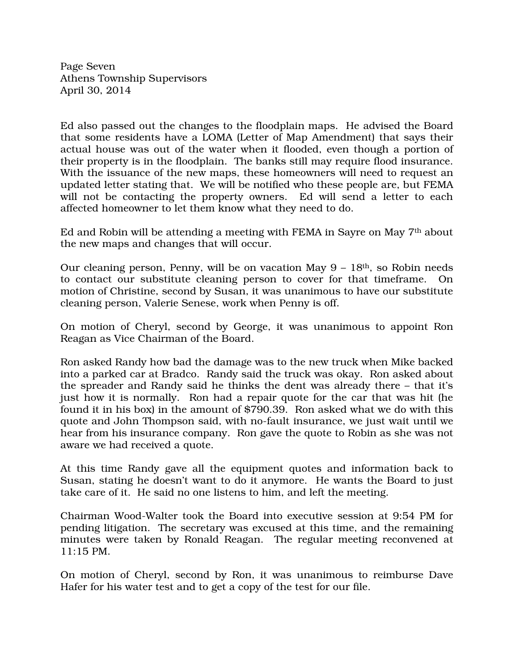Page Seven Athens Township Supervisors April 30, 2014

Ed also passed out the changes to the floodplain maps. He advised the Board that some residents have a LOMA (Letter of Map Amendment) that says their actual house was out of the water when it flooded, even though a portion of their property is in the floodplain. The banks still may require flood insurance. With the issuance of the new maps, these homeowners will need to request an updated letter stating that. We will be notified who these people are, but FEMA will not be contacting the property owners. Ed will send a letter to each affected homeowner to let them know what they need to do.

Ed and Robin will be attending a meeting with FEMA in Sayre on May 7th about the new maps and changes that will occur.

Our cleaning person, Penny, will be on vacation May  $9 - 18$ <sup>th</sup>, so Robin needs to contact our substitute cleaning person to cover for that timeframe. On motion of Christine, second by Susan, it was unanimous to have our substitute cleaning person, Valerie Senese, work when Penny is off.

On motion of Cheryl, second by George, it was unanimous to appoint Ron Reagan as Vice Chairman of the Board.

Ron asked Randy how bad the damage was to the new truck when Mike backed into a parked car at Bradco. Randy said the truck was okay. Ron asked about the spreader and Randy said he thinks the dent was already there – that it's just how it is normally. Ron had a repair quote for the car that was hit (he found it in his box) in the amount of \$790.39. Ron asked what we do with this quote and John Thompson said, with no-fault insurance, we just wait until we hear from his insurance company. Ron gave the quote to Robin as she was not aware we had received a quote.

At this time Randy gave all the equipment quotes and information back to Susan, stating he doesn't want to do it anymore. He wants the Board to just take care of it. He said no one listens to him, and left the meeting.

Chairman Wood-Walter took the Board into executive session at 9:54 PM for pending litigation. The secretary was excused at this time, and the remaining minutes were taken by Ronald Reagan. The regular meeting reconvened at 11:15 PM.

On motion of Cheryl, second by Ron, it was unanimous to reimburse Dave Hafer for his water test and to get a copy of the test for our file.